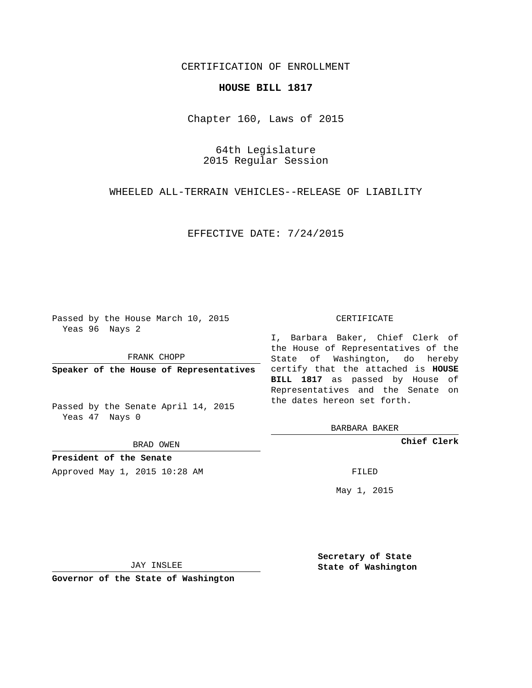## CERTIFICATION OF ENROLLMENT

## **HOUSE BILL 1817**

Chapter 160, Laws of 2015

64th Legislature 2015 Regular Session

WHEELED ALL-TERRAIN VEHICLES--RELEASE OF LIABILITY

EFFECTIVE DATE: 7/24/2015

Passed by the House March 10, 2015 Yeas 96 Nays 2

FRANK CHOPP

Passed by the Senate April 14, 2015 Yeas 47 Nays 0

BRAD OWEN

**President of the Senate**

Approved May 1, 2015 10:28 AM FILED

## CERTIFICATE

**Speaker of the House of Representatives** certify that the attached is **HOUSE** I, Barbara Baker, Chief Clerk of the House of Representatives of the State of Washington, do hereby **BILL 1817** as passed by House of Representatives and the Senate on the dates hereon set forth.

BARBARA BAKER

**Chief Clerk**

May 1, 2015

JAY INSLEE

**Governor of the State of Washington**

**Secretary of State State of Washington**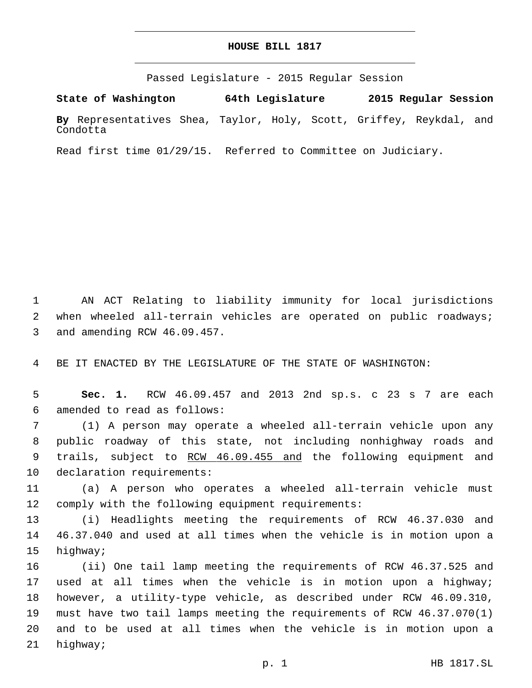## **HOUSE BILL 1817**

Passed Legislature - 2015 Regular Session

**State of Washington 64th Legislature 2015 Regular Session By** Representatives Shea, Taylor, Holy, Scott, Griffey, Reykdal, and Condotta

Read first time 01/29/15. Referred to Committee on Judiciary.

1 AN ACT Relating to liability immunity for local jurisdictions 2 when wheeled all-terrain vehicles are operated on public roadways; 3 and amending RCW 46.09.457.

4 BE IT ENACTED BY THE LEGISLATURE OF THE STATE OF WASHINGTON:

5 **Sec. 1.** RCW 46.09.457 and 2013 2nd sp.s. c 23 s 7 are each amended to read as follows:6

7 (1) A person may operate a wheeled all-terrain vehicle upon any 8 public roadway of this state, not including nonhighway roads and 9 trails, subject to RCW 46.09.455 and the following equipment and 10 declaration requirements:

11 (a) A person who operates a wheeled all-terrain vehicle must 12 comply with the following equipment requirements:

13 (i) Headlights meeting the requirements of RCW 46.37.030 and 14 46.37.040 and used at all times when the vehicle is in motion upon a 15 highway;

 (ii) One tail lamp meeting the requirements of RCW 46.37.525 and used at all times when the vehicle is in motion upon a highway; however, a utility-type vehicle, as described under RCW 46.09.310, must have two tail lamps meeting the requirements of RCW 46.37.070(1) and to be used at all times when the vehicle is in motion upon a 21 highway;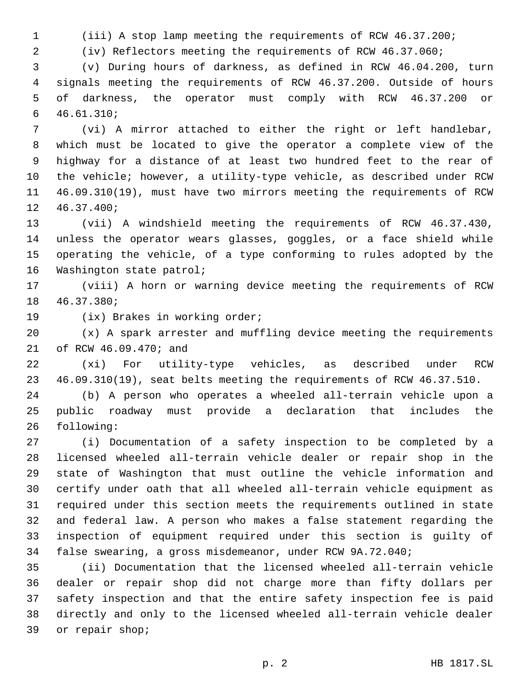(iii) A stop lamp meeting the requirements of RCW 46.37.200;

(iv) Reflectors meeting the requirements of RCW 46.37.060;

 (v) During hours of darkness, as defined in RCW 46.04.200, turn signals meeting the requirements of RCW 46.37.200. Outside of hours of darkness, the operator must comply with RCW 46.37.200 or 46.61.310;6

 (vi) A mirror attached to either the right or left handlebar, which must be located to give the operator a complete view of the highway for a distance of at least two hundred feet to the rear of the vehicle; however, a utility-type vehicle, as described under RCW 46.09.310(19), must have two mirrors meeting the requirements of RCW 12 46.37.400;

 (vii) A windshield meeting the requirements of RCW 46.37.430, unless the operator wears glasses, goggles, or a face shield while operating the vehicle, of a type conforming to rules adopted by the 16 Washington state patrol;

 (viii) A horn or warning device meeting the requirements of RCW 46.37.380;18

19 (ix) Brakes in working order;

(x) A spark arrester and muffling device meeting the requirements

21 of RCW 46.09.470; and

 (xi) For utility-type vehicles, as described under RCW 46.09.310(19), seat belts meeting the requirements of RCW 46.37.510.

 (b) A person who operates a wheeled all-terrain vehicle upon a public roadway must provide a declaration that includes the 26 following:

 (i) Documentation of a safety inspection to be completed by a licensed wheeled all-terrain vehicle dealer or repair shop in the state of Washington that must outline the vehicle information and certify under oath that all wheeled all-terrain vehicle equipment as required under this section meets the requirements outlined in state and federal law. A person who makes a false statement regarding the inspection of equipment required under this section is guilty of false swearing, a gross misdemeanor, under RCW 9A.72.040;

 (ii) Documentation that the licensed wheeled all-terrain vehicle dealer or repair shop did not charge more than fifty dollars per safety inspection and that the entire safety inspection fee is paid directly and only to the licensed wheeled all-terrain vehicle dealer 39 or repair shop;